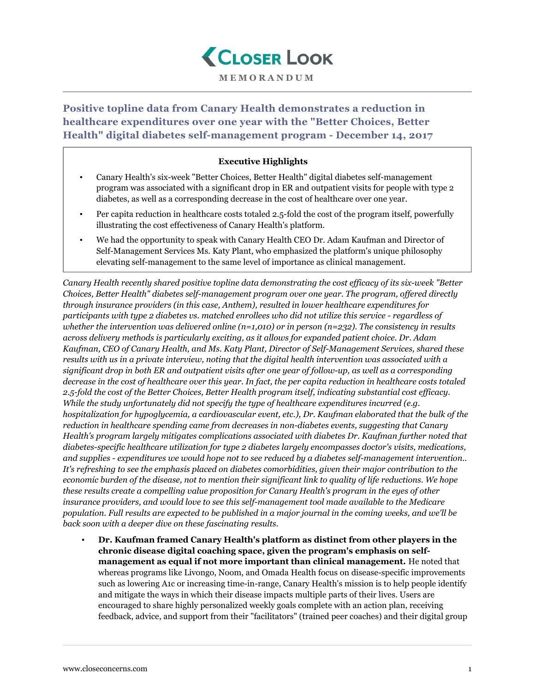

**MEMORANDUM**

**Positive topline data from Canary Health demonstrates a reduction in healthcare expenditures over one year with the "Better Choices, Better Health" digital diabetes self-management program - December 14, 2017**

## **Executive Highlights**

- Canary Health's six-week "Better Choices, Better Health" digital diabetes self-management program was associated with a significant drop in ER and outpatient visits for people with type 2 diabetes, as well as a corresponding decrease in the cost of healthcare over one year.
- Per capita reduction in healthcare costs totaled 2.5-fold the cost of the program itself, powerfully illustrating the cost effectiveness of Canary Health's platform.
- We had the opportunity to speak with Canary Health CEO Dr. Adam Kaufman and Director of Self-Management Services Ms. Katy Plant, who emphasized the platform's unique philosophy elevating self-management to the same level of importance as clinical management.

*Canary Health recently shared positive topline data demonstrating the cost efficacy of its six-week "Better Choices, Better Health" diabetes self-management program over one year. The program, offered directly through insurance providers (in this case, Anthem), resulted in lower healthcare expenditures for participants with type 2 diabetes vs. matched enrollees who did not utilize this service - regardless of whether the intervention was delivered online (n=1,010) or in person (n=232). The consistency in results across delivery methods is particularly exciting, as it allows for expanded patient choice. Dr. Adam Kaufman, CEO of Canary Health, and Ms. Katy Plant, Director of Self-Management Services, shared these results with us in a private interview, noting that the digital health intervention was associated with a significant drop in both ER and outpatient visits after one year of follow-up, as well as a corresponding decrease in the cost of healthcare over this year. In fact, the per capita reduction in healthcare costs totaled 2.5-fold the cost of the Better Choices, Better Health program itself, indicating substantial cost efficacy. While the study unfortunately did not specify the type of healthcare expenditures incurred (e.g. hospitalization for hypoglycemia, a cardiovascular event, etc.), Dr. Kaufman elaborated that the bulk of the reduction in healthcare spending came from decreases in non-diabetes events, suggesting that Canary Health's program largely mitigates complications associated with diabetes Dr. Kaufman further noted that diabetes-specific healthcare utilization for type 2 diabetes largely encompasses doctor's visits, medications, and supplies - expenditures we would hope not to see reduced by a diabetes self-management intervention.. It's refreshing to see the emphasis placed on diabetes comorbidities, given their major contribution to the economic burden of the disease, not to mention their significant link to quality of life reductions. We hope these results create a compelling value proposition for Canary Health's program in the eyes of other insurance providers, and would love to see this self-management tool made available to the Medicare population. Full results are expected to be published in a major journal in the coming weeks, and we'll be back soon with a deeper dive on these fascinating results.*

▪ **Dr. Kaufman framed Canary Health's platform as distinct from other players in the chronic disease digital coaching space, given the program's emphasis on selfmanagement as equal if not more important than clinical management.** He noted that whereas programs like Livongo, Noom, and Omada Health focus on disease-specific improvements such as lowering A1c or increasing time-in-range, Canary Health's mission is to help people identify and mitigate the ways in which their disease impacts multiple parts of their lives. Users are encouraged to share highly personalized weekly goals complete with an action plan, receiving feedback, advice, and support from their "facilitators" (trained peer coaches) and their digital group